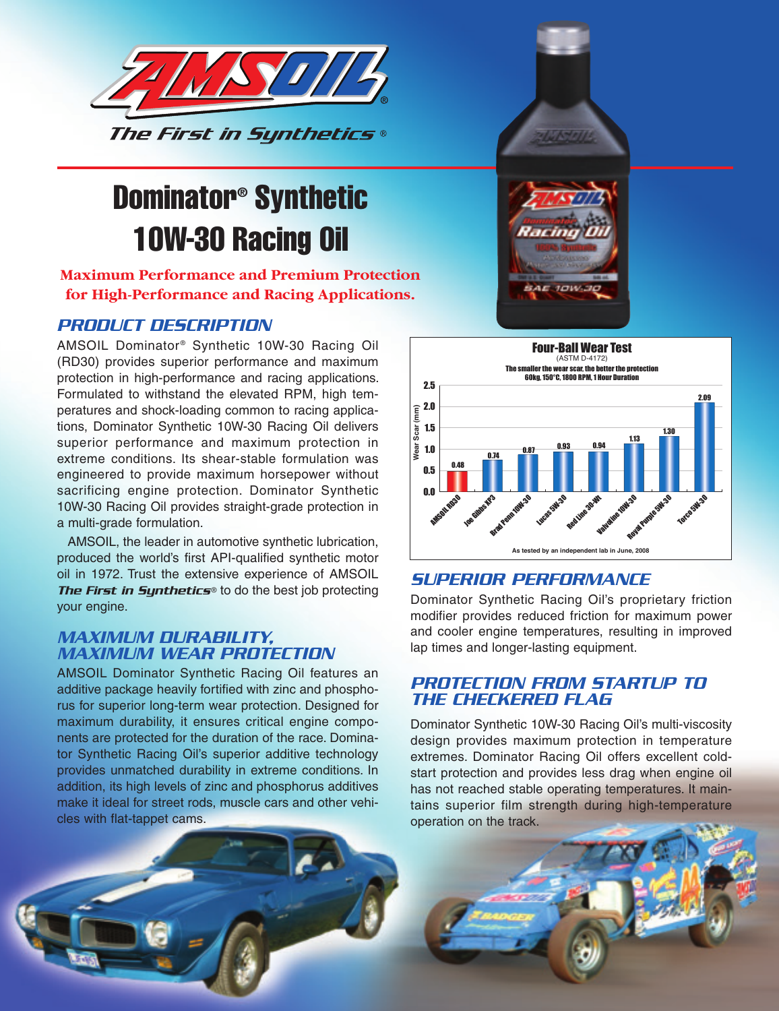

# Dominator® Synthetic 10W-30 Racing Oil

**Maximum Performance and Premium Protection for High-Performance and Racing Applications.**

#### *PRODUCT DESCRIPTION*

AMSOIL Dominator<sup>®</sup> Synthetic 10W-30 Racing Oil (RD30) provides superior performance and maximum protection in high-performance and racing applications. Formulated to withstand the elevated RPM, high temperatures and shock-loading common to racing applications, Dominator Synthetic 10W-30 Racing Oil delivers superior performance and maximum protection in extreme conditions. Its shear-stable formulation was engineered to provide maximum horsepower without sacrificing engine protection. Dominator Synthetic 10W-30 Racing Oil provides straight-grade protection in a multi-grade formulation.

 AMSOIL, the leader in automotive synthetic lubrication, produced the world's first API-qualified synthetic motor oil in 1972. Trust the extensive experience of AMSOIL **The First in Synthetics<sup>®</sup> to do the best job protecting** your engine.

#### *MAXIMUM DURABILITY, MAXIMUM WEAR PROTECTION*

AMSOIL Dominator Synthetic Racing Oil features an additive package heavily fortified with zinc and phosphorus for superior long-term wear protection. Designed for maximum durability, it ensures critical engine components are protected for the duration of the race. Dominator Synthetic Racing Oil's superior additive technology provides unmatched durability in extreme conditions. In addition, its high levels of zinc and phosphorus additives make it ideal for street rods, muscle cars and other vehicles with flat-tappet cams.





#### *SUPERIOR PERFORMANCE*

Dominator Synthetic Racing Oil's proprietary friction modifier provides reduced friction for maximum power and cooler engine temperatures, resulting in improved lap times and longer-lasting equipment.

#### *PROTECTION FROM STARTUP TO THE CHECKERED FLAG*

Dominator Synthetic 10W-30 Racing Oil's multi-viscosity design provides maximum protection in temperature extremes. Dominator Racing Oil offers excellent coldstart protection and provides less drag when engine oil has not reached stable operating temperatures. It maintains superior film strength during high-temperature operation on the track.